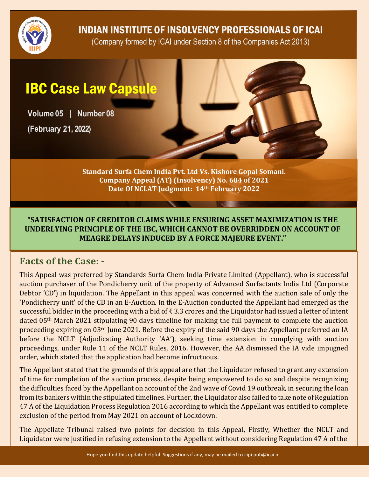

INDIAN INSTITUTE OF INSOLVENCY PROFESSIONALS OF ICAI

(Company formed by ICAI under Section 8 of the Companies Act 2013)

# IBC Case Law Capsule

**Volume 05 | Number 08**

**(February 21, 2022)**

**Standard Surfa Chem India Pvt. Ltd Vs. Kishore Gopal Somani. Company Appeal (AT) (Insolvency) No. 684 of 2021 Date Of NCLAT Judgment: 14th February 2022**

#### **"SATISFACTION OF CREDITOR CLAIMS WHILE ENSURING ASSET MAXIMIZATION IS THE UNDERLYING PRINCIPLE OF THE IBC, WHICH CANNOT BE OVERRIDDEN ON ACCOUNT OF MEAGRE DELAYS INDUCED BY A FORCE MAJEURE EVENT."**

## **Facts of the Case: -**

This Appeal was preferred by Standards Surfa Chem India Private Limited (Appellant), who is successful auction purchaser of the Pondicherry unit of the property of Advanced Surfactants India Ltd (Corporate Debtor 'CD') in liquidation. The Appellant in this appeal was concerned with the auction sale of only the 'Pondicherry unit' of the CD in an E-Auction. In the E-Auction conducted the Appellant had emerged as the successful bidder in the proceeding with a bid of ₹ 3.3 crores and the Liquidator had issued a letter of intent dated 05th March 2021 stipulating 90 days timeline for making the full payment to complete the auction proceeding expiring on 03rd June 2021. Before the expiry of the said 90 days the Appellant preferred an IA before the NCLT (Adjudicating Authority 'AA'), seeking time extension in complying with auction proceedings, under Rule 11 of the NCLT Rules, 2016. However, the AA dismissed the IA vide impugned order, which stated that the application had become infructuous.

The Appellant stated that the grounds of this appeal are that the Liquidator refused to grant any extension of time for completion of the auction process, despite being empowered to do so and despite recognizing the difficulties faced by the Appellant on account of the 2nd wave of Covid 19 outbreak, in securing the loan from its bankers within the stipulated timelines. Further, the Liquidator also failed to take note of Regulation 47 A of the Liquidation Process Regulation 2016 according to which the Appellant was entitled to complete exclusion of the period from May 2021 on account of Lockdown.

The Appellate Tribunal raised two points for decision in this Appeal, Firstly, Whether the NCLT and Liquidator were justified in refusing extension to the Appellant without considering Regulation 47 A of the